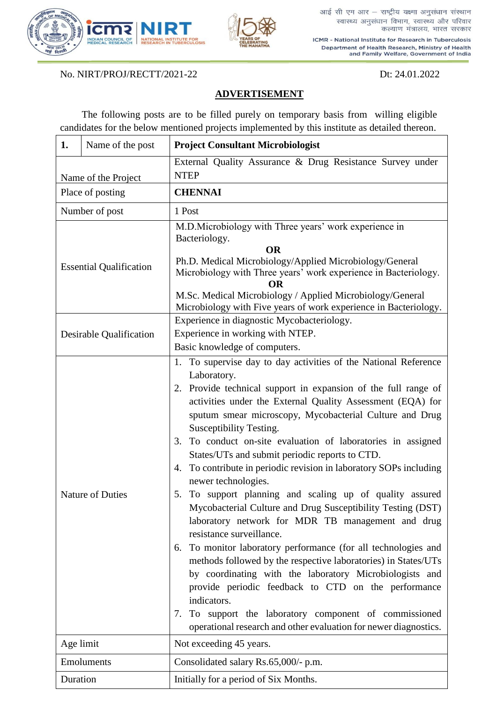

ICMR - National Institute for Research in Tuberculosis Department of Health Research, Ministry of Health and Family Welfare, Government of India

No. NIRT/PROJ/RECTT/2021-22 Dt: 24.01.2022

## **ADVERTISEMENT**

The following posts are to be filled purely on temporary basis from willing eligible candidates for the below mentioned projects implemented by this institute as detailed thereon.

| 1.                             | Name of the post        | <b>Project Consultant Microbiologist</b>                                                                                                                                                                                                                                                                                                                                                                                                                                                                                                                                                                                                                                                                                                                                                                                                                                                                                                                                                                                                                                                                                                          |
|--------------------------------|-------------------------|---------------------------------------------------------------------------------------------------------------------------------------------------------------------------------------------------------------------------------------------------------------------------------------------------------------------------------------------------------------------------------------------------------------------------------------------------------------------------------------------------------------------------------------------------------------------------------------------------------------------------------------------------------------------------------------------------------------------------------------------------------------------------------------------------------------------------------------------------------------------------------------------------------------------------------------------------------------------------------------------------------------------------------------------------------------------------------------------------------------------------------------------------|
| Name of the Project            |                         | External Quality Assurance & Drug Resistance Survey under<br><b>NTEP</b>                                                                                                                                                                                                                                                                                                                                                                                                                                                                                                                                                                                                                                                                                                                                                                                                                                                                                                                                                                                                                                                                          |
| Place of posting               |                         | <b>CHENNAI</b>                                                                                                                                                                                                                                                                                                                                                                                                                                                                                                                                                                                                                                                                                                                                                                                                                                                                                                                                                                                                                                                                                                                                    |
| Number of post                 |                         | 1 Post                                                                                                                                                                                                                                                                                                                                                                                                                                                                                                                                                                                                                                                                                                                                                                                                                                                                                                                                                                                                                                                                                                                                            |
| <b>Essential Qualification</b> |                         | M.D.Microbiology with Three years' work experience in<br>Bacteriology.<br><b>OR</b><br>Ph.D. Medical Microbiology/Applied Microbiology/General<br>Microbiology with Three years' work experience in Bacteriology.<br>M.Sc. Medical Microbiology / Applied Microbiology/General<br>Microbiology with Five years of work experience in Bacteriology.                                                                                                                                                                                                                                                                                                                                                                                                                                                                                                                                                                                                                                                                                                                                                                                                |
| Desirable Qualification        |                         | Experience in diagnostic Mycobacteriology.<br>Experience in working with NTEP.<br>Basic knowledge of computers.                                                                                                                                                                                                                                                                                                                                                                                                                                                                                                                                                                                                                                                                                                                                                                                                                                                                                                                                                                                                                                   |
|                                | <b>Nature of Duties</b> | 1. To supervise day to day activities of the National Reference<br>Laboratory.<br>2. Provide technical support in expansion of the full range of<br>activities under the External Quality Assessment (EQA) for<br>sputum smear microscopy, Mycobacterial Culture and Drug<br>Susceptibility Testing.<br>To conduct on-site evaluation of laboratories in assigned<br>3.<br>States/UTs and submit periodic reports to CTD.<br>To contribute in periodic revision in laboratory SOPs including<br>4.<br>newer technologies.<br>To support planning and scaling up of quality assured<br>5.<br>Mycobacterial Culture and Drug Susceptibility Testing (DST)<br>laboratory network for MDR TB management and drug<br>resistance surveillance.<br>To monitor laboratory performance (for all technologies and<br>6.<br>methods followed by the respective laboratories) in States/UTs<br>by coordinating with the laboratory Microbiologists and<br>provide periodic feedback to CTD on the performance<br>indicators.<br>To support the laboratory component of commissioned<br>7.<br>operational research and other evaluation for newer diagnostics. |
| Age limit                      |                         | Not exceeding 45 years.                                                                                                                                                                                                                                                                                                                                                                                                                                                                                                                                                                                                                                                                                                                                                                                                                                                                                                                                                                                                                                                                                                                           |
| Emoluments                     |                         | Consolidated salary Rs.65,000/- p.m.                                                                                                                                                                                                                                                                                                                                                                                                                                                                                                                                                                                                                                                                                                                                                                                                                                                                                                                                                                                                                                                                                                              |
| Duration                       |                         | Initially for a period of Six Months.                                                                                                                                                                                                                                                                                                                                                                                                                                                                                                                                                                                                                                                                                                                                                                                                                                                                                                                                                                                                                                                                                                             |

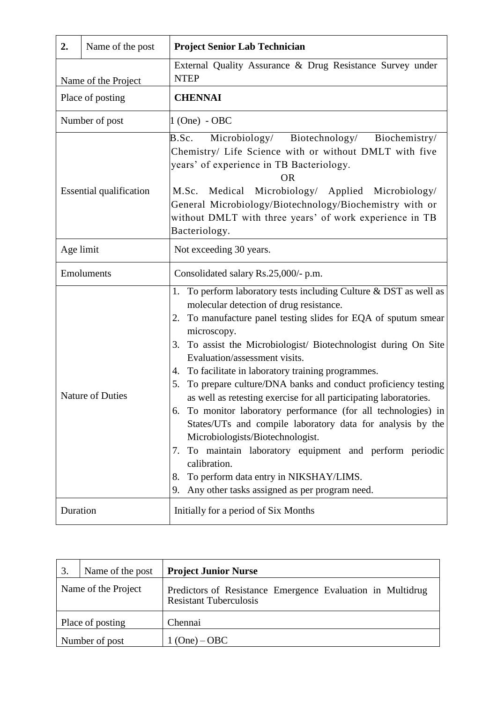| 2.                             | Name of the post | <b>Project Senior Lab Technician</b>                                                                                                                                                                                                                                                                                                                                                                                                                                                                                                                                                                                                                                                                                                                                                                                                                          |
|--------------------------------|------------------|---------------------------------------------------------------------------------------------------------------------------------------------------------------------------------------------------------------------------------------------------------------------------------------------------------------------------------------------------------------------------------------------------------------------------------------------------------------------------------------------------------------------------------------------------------------------------------------------------------------------------------------------------------------------------------------------------------------------------------------------------------------------------------------------------------------------------------------------------------------|
| Name of the Project            |                  | External Quality Assurance & Drug Resistance Survey under<br><b>NTEP</b>                                                                                                                                                                                                                                                                                                                                                                                                                                                                                                                                                                                                                                                                                                                                                                                      |
| Place of posting               |                  | <b>CHENNAI</b>                                                                                                                                                                                                                                                                                                                                                                                                                                                                                                                                                                                                                                                                                                                                                                                                                                                |
| Number of post                 |                  | $1$ (One) - OBC                                                                                                                                                                                                                                                                                                                                                                                                                                                                                                                                                                                                                                                                                                                                                                                                                                               |
| <b>Essential qualification</b> |                  | B.Sc.<br>Microbiology/ Biotechnology/ Biochemistry/<br>Chemistry/ Life Science with or without DMLT with five<br>years' of experience in TB Bacteriology.<br>0 <sub>R</sub><br>M.Sc. Medical Microbiology/ Applied Microbiology/<br>General Microbiology/Biotechnology/Biochemistry with or<br>without DMLT with three years' of work experience in TB<br>Bacteriology.                                                                                                                                                                                                                                                                                                                                                                                                                                                                                       |
| Age limit                      |                  | Not exceeding 30 years.                                                                                                                                                                                                                                                                                                                                                                                                                                                                                                                                                                                                                                                                                                                                                                                                                                       |
| Emoluments                     |                  | Consolidated salary Rs.25,000/- p.m.                                                                                                                                                                                                                                                                                                                                                                                                                                                                                                                                                                                                                                                                                                                                                                                                                          |
|                                | Nature of Duties | 1. To perform laboratory tests including Culture & DST as well as<br>molecular detection of drug resistance.<br>To manufacture panel testing slides for EQA of sputum smear<br>2.<br>microscopy.<br>3. To assist the Microbiologist/ Biotechnologist during On Site<br>Evaluation/assessment visits.<br>To facilitate in laboratory training programmes.<br>4.<br>To prepare culture/DNA banks and conduct proficiency testing<br>5.<br>as well as retesting exercise for all participating laboratories.<br>To monitor laboratory performance (for all technologies) in<br>States/UTs and compile laboratory data for analysis by the<br>Microbiologists/Biotechnologist.<br>7. To maintain laboratory equipment and perform periodic<br>calibration.<br>To perform data entry in NIKSHAY/LIMS.<br>8.<br>Any other tasks assigned as per program need.<br>9. |
| Duration                       |                  | Initially for a period of Six Months                                                                                                                                                                                                                                                                                                                                                                                                                                                                                                                                                                                                                                                                                                                                                                                                                          |

|                     | Name of the post | <b>Project Junior Nurse</b>                                                                 |
|---------------------|------------------|---------------------------------------------------------------------------------------------|
| Name of the Project |                  | Predictors of Resistance Emergence Evaluation in Multidrug<br><b>Resistant Tuberculosis</b> |
| Place of posting    |                  | Chennai                                                                                     |
| Number of post      |                  | $1 (One) - OBC$                                                                             |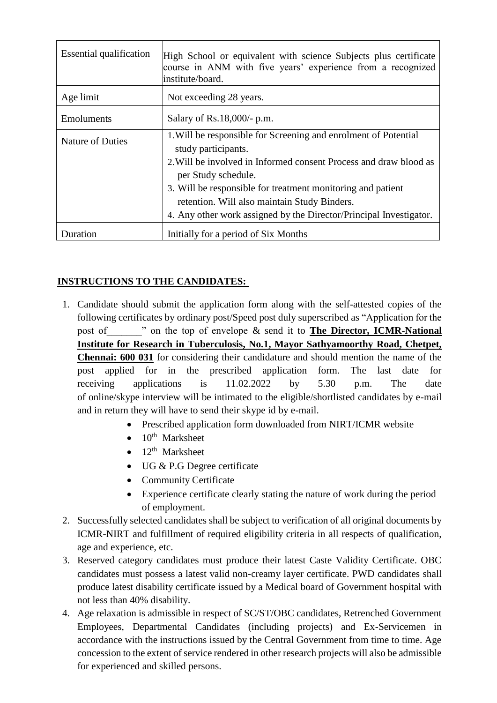| <b>Essential qualification</b> | High School or equivalent with science Subjects plus certificate<br>course in ANM with five years' experience from a recognized<br>institute/board. |
|--------------------------------|-----------------------------------------------------------------------------------------------------------------------------------------------------|
| Age limit                      | Not exceeding 28 years.                                                                                                                             |
| Emoluments                     | Salary of Rs.18,000/- p.m.                                                                                                                          |
| <b>Nature of Duties</b>        | 1. Will be responsible for Screening and enrolment of Potential<br>study participants.                                                              |
|                                | 2. Will be involved in Informed consent Process and draw blood as<br>per Study schedule.                                                            |
|                                | 3. Will be responsible for treatment monitoring and patient<br>retention. Will also maintain Study Binders.                                         |
|                                | 4. Any other work assigned by the Director/Principal Investigator.                                                                                  |
| Duration                       | Initially for a period of Six Months                                                                                                                |

## **INSTRUCTIONS TO THE CANDIDATES:**

- 1. Candidate should submit the application form along with the self-attested copies of the following certificates by ordinary post/Speed post duly superscribed as "Application for the post of worms the top of envelope & send it to **The Director, ICMR-National p Institute for Research in Tuberculosis, No.1, Mayor Sathyamoorthy Road, Chetpet, Chennai: 600 031** for considering their candidature and should mention the name of the post applied for in the prescribed application form. The last date for receiving applications is 11.02.2022 by 5.30 p.m. The date of online/skype interview will be intimated to the eligible/shortlisted candidates by e-mail and in return they will have to send their skype id by e-mail.
	- Prescribed application form downloaded from NIRT/ICMR website
	- $\bullet$  10<sup>th</sup> Marksheet
	- $\bullet$  12<sup>th</sup> Marksheet
	- UG & P.G Degree certificate
	- Community Certificate
	- Experience certificate clearly stating the nature of work during the period of employment.
- 2. Successfully selected candidates shall be subject to verification of all original documents by ICMR-NIRT and fulfillment of required eligibility criteria in all respects of qualification, age and experience, etc.
- 3. Reserved category candidates must produce their latest Caste Validity Certificate. OBC candidates must possess a latest valid non-creamy layer certificate. PWD candidates shall produce latest disability certificate issued by a Medical board of Government hospital with not less than 40% disability.
- 4. Age relaxation is admissible in respect of SC/ST/OBC candidates, Retrenched Government Employees, Departmental Candidates (including projects) and Ex-Servicemen in accordance with the instructions issued by the Central Government from time to time. Age concession to the extent of service rendered in other research projects will also be admissible for experienced and skilled persons.